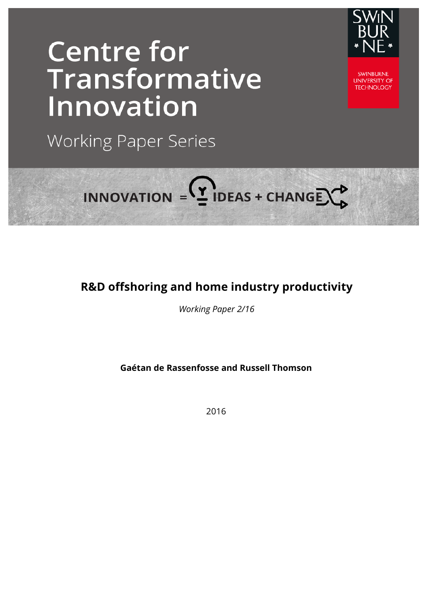## **Centre for** Transformative Innovation



**SWINBLIRNE UNIVERSITY OF TECHNOLOGY** 

**Working Paper Series** 

# INNOVATION =  $2$  IDEAS + CHANGE  $\rightarrow$

## **R&D offshoring and home industry productivity**

*Working Paper 2/16*

**Gaétan de Rassenfosse and Russell Thomson**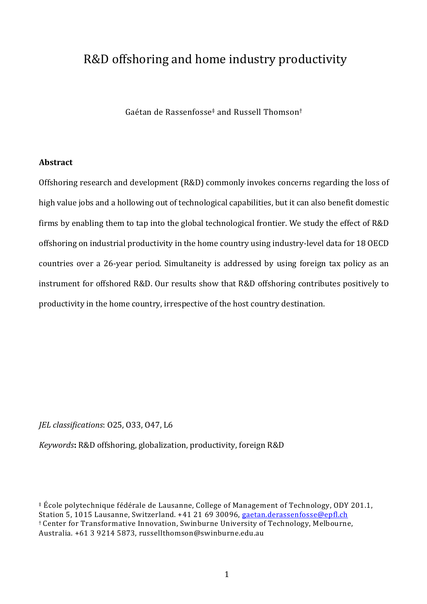### R&D offshoring and home industry productivity

Gaétan de Rassenfosse‡ and Russell Thomson†

#### **Abstract**

Offshoring research and development (R&D) commonly invokes concerns regarding the loss of high value jobs and a hollowing out of technological capabilities, but it can also benefit domestic firms by enabling them to tap into the global technological frontier. We study the effect of R&D offshoring on industrial productivity in the home country using industry-level data for 18 OECD countries over a 26-year period. Simultaneity is addressed by using foreign tax policy as an instrument for offshored R&D. Our results show that R&D offshoring contributes positively to productivity in the home country, irrespective of the host country destination.

#### *IEL classifications:* 025, 033, 047, L6

*Keywords*: R&D offshoring, globalization, productivity, foreign R&D

 $\pm$  École polytechnique fédérale de Lausanne, College of Management of Technology, ODY 201.1, Station 5, 1015 Lausanne, Switzerland. +41 21 69 30096, gaetan.derassenfosse@epfl.ch † Center for Transformative Innovation, Swinburne University of Technology, Melbourne, Australia. +61 3 9214 5873, russellthomson@swinburne.edu.au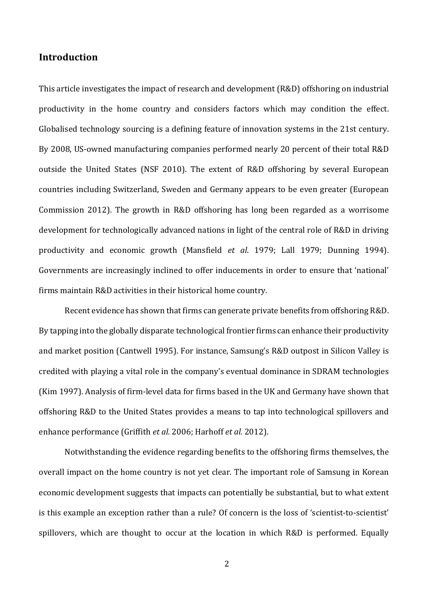#### **Introduction**

This article investigates the impact of research and development (R&D) offshoring on industrial productivity in the home country and considers factors which may condition the effect. Globalised technology sourcing is a defining feature of innovation systems in the 21st century. By 2008, US-owned manufacturing companies performed nearly 20 percent of their total R&D outside the United States (NSF 2010). The extent of R&D offshoring by several European countries including Switzerland, Sweden and Germany appears to be even greater (European Commission 2012). The growth in R&D offshoring has long been regarded as a worrisome development for technologically advanced nations in light of the central role of R&D in driving productivity and economic growth (Mansfield *et al.* 1979; Lall 1979; Dunning 1994). Governments are increasingly inclined to offer inducements in order to ensure that 'national' firms maintain R&D activities in their historical home country.

Recent evidence has shown that firms can generate private benefits from offshoring R&D. By tapping into the globally disparate technological frontier firms can enhance their productivity and market position (Cantwell 1995). For instance, Samsung's R&D outpost in Silicon Valley is credited with playing a vital role in the company's eventual dominance in SDRAM technologies (Kim 1997). Analysis of firm-level data for firms based in the UK and Germany have shown that offshoring R&D to the United States provides a means to tap into technological spillovers and enhance performance (Griffith *et al.* 2006; Harhoff *et al.* 2012).

Notwithstanding the evidence regarding benefits to the offshoring firms themselves, the overall impact on the home country is not yet clear. The important role of Samsung in Korean economic development suggests that impacts can potentially be substantial, but to what extent is this example an exception rather than a rule? Of concern is the loss of 'scientist-to-scientist' spillovers, which are thought to occur at the location in which R&D is performed. Equally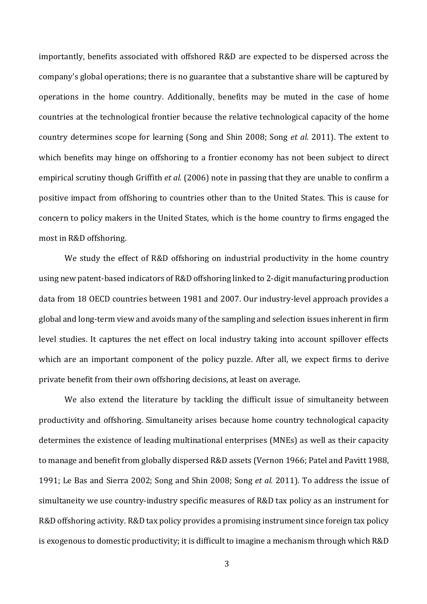importantly, benefits associated with offshored R&D are expected to be dispersed across the company's global operations; there is no guarantee that a substantive share will be captured by operations in the home country. Additionally, benefits may be muted in the case of home countries at the technological frontier because the relative technological capacity of the home country determines scope for learning (Song and Shin 2008; Song *et al.* 2011). The extent to which benefits may hinge on offshoring to a frontier economy has not been subject to direct empirical scrutiny though Griffith *et al.* (2006) note in passing that they are unable to confirm a positive impact from offshoring to countries other than to the United States. This is cause for concern to policy makers in the United States, which is the home country to firms engaged the most in R&D offshoring.

We study the effect of R&D offshoring on industrial productivity in the home country using new patent-based indicators of R&D offshoring linked to 2-digit manufacturing production data from 18 OECD countries between 1981 and 2007. Our industry-level approach provides a global and long-term view and avoids many of the sampling and selection issues inherent in firm level studies. It captures the net effect on local industry taking into account spillover effects which are an important component of the policy puzzle. After all, we expect firms to derive private benefit from their own offshoring decisions, at least on average.

We also extend the literature by tackling the difficult issue of simultaneity between productivity and offshoring. Simultaneity arises because home country technological capacity determines the existence of leading multinational enterprises (MNEs) as well as their capacity to manage and benefit from globally dispersed R&D assets (Vernon 1966; Patel and Pavitt 1988, 1991; Le Bas and Sierra 2002; Song and Shin 2008; Song *et al.* 2011). To address the issue of simultaneity we use country-industry specific measures of R&D tax policy as an instrument for R&D offshoring activity. R&D tax policy provides a promising instrument since foreign tax policy is exogenous to domestic productivity; it is difficult to imagine a mechanism through which R&D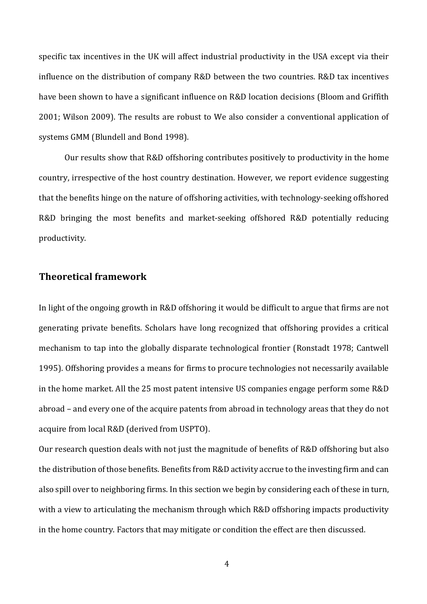specific tax incentives in the UK will affect industrial productivity in the USA except via their influence on the distribution of company R&D between the two countries. R&D tax incentives have been shown to have a significant influence on R&D location decisions (Bloom and Griffith 2001; Wilson 2009). The results are robust to We also consider a conventional application of systems GMM (Blundell and Bond 1998).

Our results show that R&D offshoring contributes positively to productivity in the home country, irrespective of the host country destination. However, we report evidence suggesting that the benefits hinge on the nature of offshoring activities, with technology-seeking offshored R&D bringing the most benefits and market-seeking offshored R&D potentially reducing productivity.

#### **Theoretical framework**

In light of the ongoing growth in R&D offshoring it would be difficult to argue that firms are not generating private benefits. Scholars have long recognized that offshoring provides a critical mechanism to tap into the globally disparate technological frontier (Ronstadt 1978; Cantwell 1995). Offshoring provides a means for firms to procure technologies not necessarily available in the home market. All the 25 most patent intensive US companies engage perform some R&D abroad – and every one of the acquire patents from abroad in technology areas that they do not acquire from local R&D (derived from USPTO).

Our research question deals with not just the magnitude of benefits of R&D offshoring but also the distribution of those benefits. Benefits from R&D activity accrue to the investing firm and can also spill over to neighboring firms. In this section we begin by considering each of these in turn, with a view to articulating the mechanism through which R&D offshoring impacts productivity in the home country. Factors that may mitigate or condition the effect are then discussed.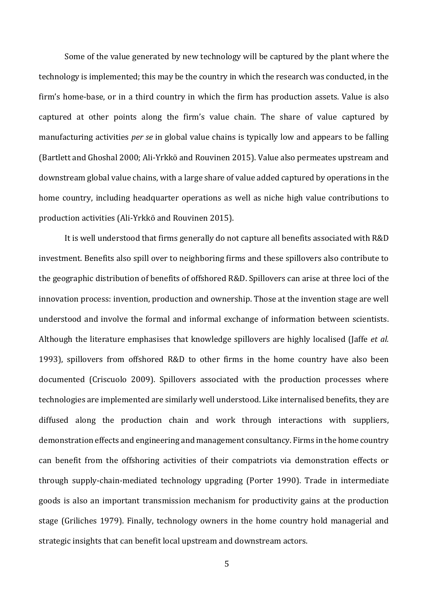Some of the value generated by new technology will be captured by the plant where the technology is implemented; this may be the country in which the research was conducted, in the firm's home-base, or in a third country in which the firm has production assets. Value is also captured at other points along the firm's value chain. The share of value captured by manufacturing activities *per se* in global value chains is typically low and appears to be falling (Bartlett and Ghoshal 2000; Ali-Yrkkö and Rouvinen 2015). Value also permeates upstream and downstream global value chains, with a large share of value added captured by operations in the home country, including headquarter operations as well as niche high value contributions to production activities (Ali-Yrkkö and Rouvinen 2015).

It is well understood that firms generally do not capture all benefits associated with R&D investment. Benefits also spill over to neighboring firms and these spillovers also contribute to the geographic distribution of benefits of offshored R&D. Spillovers can arise at three loci of the innovation process: invention, production and ownership. Those at the invention stage are well understood and involve the formal and informal exchange of information between scientists. Although the literature emphasises that knowledge spillovers are highly localised (Jaffe *et al.*) 1993), spillovers from offshored R&D to other firms in the home country have also been documented (Criscuolo 2009). Spillovers associated with the production processes where technologies are implemented are similarly well understood. Like internalised benefits, they are diffused along the production chain and work through interactions with suppliers, demonstration effects and engineering and management consultancy. Firms in the home country can benefit from the offshoring activities of their compatriots via demonstration effects or through supply-chain-mediated technology upgrading (Porter 1990). Trade in intermediate goods is also an important transmission mechanism for productivity gains at the production stage (Griliches 1979). Finally, technology owners in the home country hold managerial and strategic insights that can benefit local upstream and downstream actors.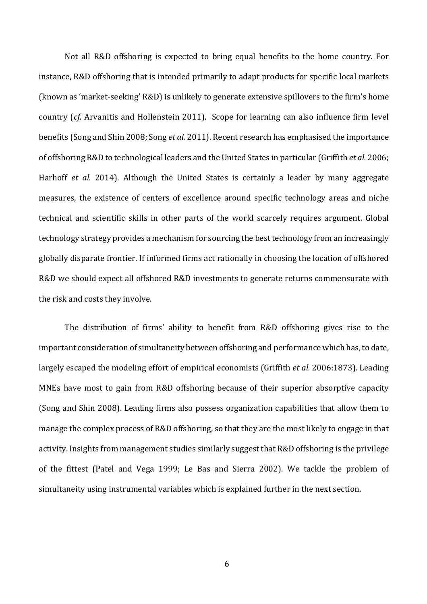Not all R&D offshoring is expected to bring equal benefits to the home country. For instance, R&D offshoring that is intended primarily to adapt products for specific local markets (known as 'market-seeking' R&D) is unlikely to generate extensive spillovers to the firm's home country (*cf.* Arvanitis and Hollenstein 2011). Scope for learning can also influence firm level benefits (Song and Shin 2008; Song *et al.* 2011). Recent research has emphasised the importance of offshoring R&D to technological leaders and the United States in particular (Griffith *et al.* 2006; Harhoff *et al.* 2014). Although the United States is certainly a leader by many aggregate measures, the existence of centers of excellence around specific technology areas and niche technical and scientific skills in other parts of the world scarcely requires argument. Global technology strategy provides a mechanism for sourcing the best technology from an increasingly globally disparate frontier. If informed firms act rationally in choosing the location of offshored R&D we should expect all offshored R&D investments to generate returns commensurate with the risk and costs they involve.

The distribution of firms' ability to benefit from R&D offshoring gives rise to the important consideration of simultaneity between offshoring and performance which has, to date, largely escaped the modeling effort of empirical economists (Griffith *et al.* 2006:1873). Leading MNEs have most to gain from R&D offshoring because of their superior absorptive capacity (Song and Shin 2008). Leading firms also possess organization capabilities that allow them to manage the complex process of R&D offshoring, so that they are the most likely to engage in that activity. Insights from management studies similarly suggest that R&D offshoring is the privilege of the fittest (Patel and Vega 1999; Le Bas and Sierra 2002). We tackle the problem of simultaneity using instrumental variables which is explained further in the next section.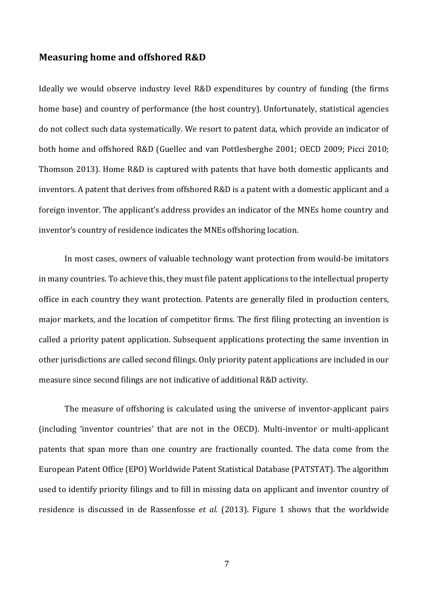#### **Measuring home and offshored R&D**

Ideally we would observe industry level R&D expenditures by country of funding (the firms home base) and country of performance (the host country). Unfortunately, statistical agencies do not collect such data systematically. We resort to patent data, which provide an indicator of both home and offshored R&D (Guellec and van Pottlesberghe 2001; OECD 2009; Picci 2010; Thomson 2013). Home R&D is captured with patents that have both domestic applicants and inventors. A patent that derives from offshored R&D is a patent with a domestic applicant and a foreign inventor. The applicant's address provides an indicator of the MNEs home country and inventor's country of residence indicates the MNEs offshoring location.

In most cases, owners of valuable technology want protection from would-be imitators in many countries. To achieve this, they must file patent applications to the intellectual property office in each country they want protection. Patents are generally filed in production centers, major markets, and the location of competitor firms. The first filing protecting an invention is called a priority patent application. Subsequent applications protecting the same invention in other jurisdictions are called second filings. Only priority patent applications are included in our measure since second filings are not indicative of additional R&D activity.

The measure of offshoring is calculated using the universe of inventor-applicant pairs (including 'inventor countries' that are not in the OECD). Multi-inventor or multi-applicant patents that span more than one country are fractionally counted. The data come from the European Patent Office (EPO) Worldwide Patent Statistical Database (PATSTAT). The algorithm used to identify priority filings and to fill in missing data on applicant and inventor country of residence is discussed in de Rassenfosse et al. (2013). Figure 1 shows that the worldwide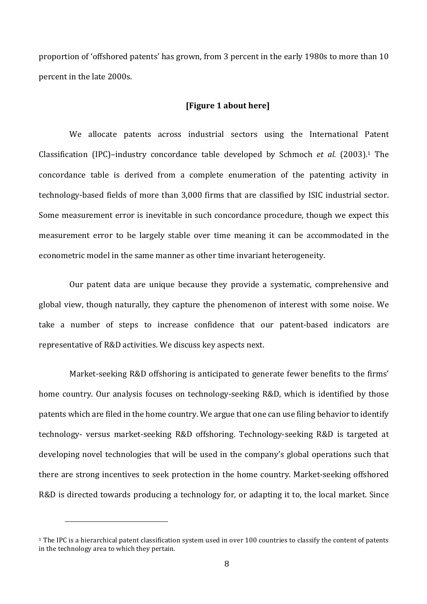proportion of 'offshored patents' has grown, from 3 percent in the early 1980s to more than 10 percent in the late 2000s.

#### **[Figure 1 about here]**

We allocate patents across industrial sectors using the International Patent Classification (IPC)–industry concordance table developed by Schmoch *et al.* (2003).<sup>1</sup> The concordance table is derived from a complete enumeration of the patenting activity in technology-based fields of more than 3,000 firms that are classified by ISIC industrial sector. Some measurement error is inevitable in such concordance procedure, though we expect this measurement error to be largely stable over time meaning it can be accommodated in the econometric model in the same manner as other time invariant heterogeneity.

Our patent data are unique because they provide a systematic, comprehensive and global view, though naturally, they capture the phenomenon of interest with some noise. We take a number of steps to increase confidence that our patent-based indicators are representative of R&D activities. We discuss key aspects next.

Market-seeking R&D offshoring is anticipated to generate fewer benefits to the firms' home country. Our analysis focuses on technology-seeking R&D, which is identified by those patents which are filed in the home country. We argue that one can use filing behavior to identify technology- versus market-seeking R&D offshoring. Technology-seeking R&D is targeted at developing novel technologies that will be used in the company's global operations such that there are strong incentives to seek protection in the home country. Market-seeking offshored R&D is directed towards producing a technology for, or adapting it to, the local market. Since

 $1$  The IPC is a hierarchical patent classification system used in over 100 countries to classify the content of patents in the technology area to which they pertain.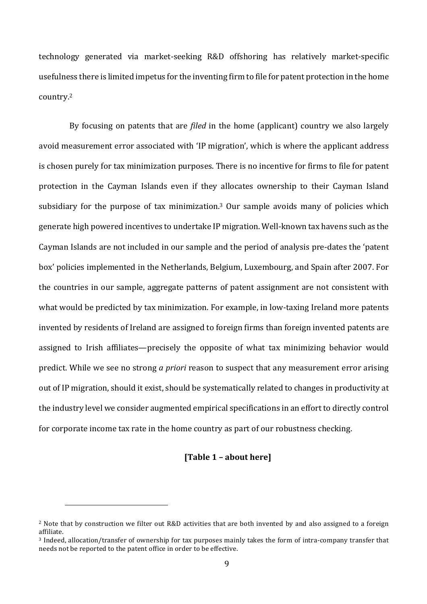technology generated via market-seeking R&D offshoring has relatively market-specific usefulness there is limited impetus for the inventing firm to file for patent protection in the home country.2

By focusing on patents that are *filed* in the home (applicant) country we also largely avoid measurement error associated with 'IP migration', which is where the applicant address is chosen purely for tax minimization purposes. There is no incentive for firms to file for patent protection in the Cayman Islands even if they allocates ownership to their Cayman Island subsidiary for the purpose of tax minimization.<sup>3</sup> Our sample avoids many of policies which generate high powered incentives to undertake IP migration. Well-known tax havens such as the Cayman Islands are not included in our sample and the period of analysis pre-dates the 'patent box' policies implemented in the Netherlands, Belgium, Luxembourg, and Spain after 2007. For the countries in our sample, aggregate patterns of patent assignment are not consistent with what would be predicted by tax minimization. For example, in low-taxing Ireland more patents invented by residents of Ireland are assigned to foreign firms than foreign invented patents are assigned to Irish affiliates—precisely the opposite of what tax minimizing behavior would predict. While we see no strong *a priori* reason to suspect that any measurement error arising out of IP migration, should it exist, should be systematically related to changes in productivity at the industry level we consider augmented empirical specifications in an effort to directly control for corporate income tax rate in the home country as part of our robustness checking.

#### **[Table 1 – about here]**

 $2$  Note that by construction we filter out R&D activities that are both invented by and also assigned to a foreign affiliate. 

<sup>&</sup>lt;sup>3</sup> Indeed, allocation/transfer of ownership for tax purposes mainly takes the form of intra-company transfer that needs not be reported to the patent office in order to be effective.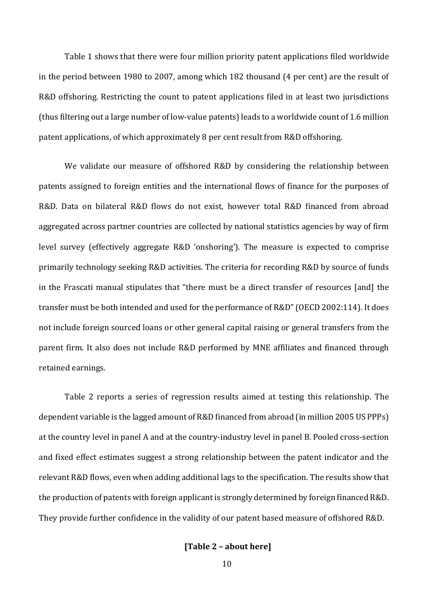Table 1 shows that there were four million priority patent applications filed worldwide in the period between 1980 to 2007, among which 182 thousand (4 per cent) are the result of R&D offshoring. Restricting the count to patent applications filed in at least two jurisdictions (thus filtering out a large number of low-value patents) leads to a worldwide count of 1.6 million patent applications, of which approximately 8 per cent result from R&D offshoring.

We validate our measure of offshored R&D by considering the relationship between patents assigned to foreign entities and the international flows of finance for the purposes of R&D. Data on bilateral R&D flows do not exist, however total R&D financed from abroad aggregated across partner countries are collected by national statistics agencies by way of firm level survey (effectively aggregate R&D 'onshoring'). The measure is expected to comprise primarily technology seeking R&D activities. The criteria for recording R&D by source of funds in the Frascati manual stipulates that "there must be a direct transfer of resources [and] the transfer must be both intended and used for the performance of R&D" (OECD 2002:114). It does not include foreign sourced loans or other general capital raising or general transfers from the parent firm. It also does not include R&D performed by MNE affiliates and financed through retained earnings.

Table 2 reports a series of regression results aimed at testing this relationship. The dependent variable is the lagged amount of R&D financed from abroad (in million 2005 US PPPs) at the country level in panel A and at the country-industry level in panel B. Pooled cross-section and fixed effect estimates suggest a strong relationship between the patent indicator and the relevant R&D flows, even when adding additional lags to the specification. The results show that the production of patents with foreign applicant is strongly determined by foreign financed R&D. They provide further confidence in the validity of our patent based measure of offshored R&D.

#### **[Table 2 – about here]**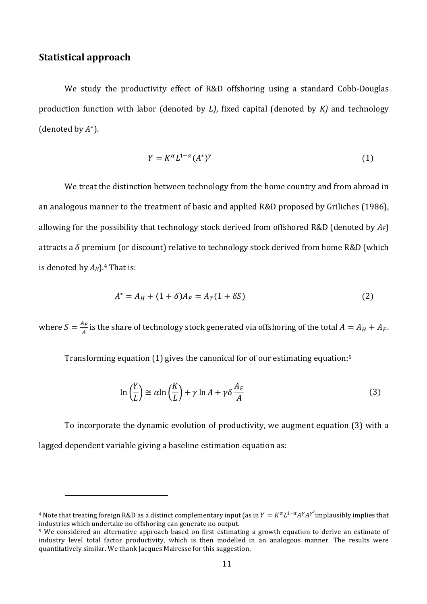#### **Statistical approach**

We study the productivity effect of R&D offshoring using a standard Cobb-Douglas production function with labor (denoted by *L*), fixed capital (denoted by *K*) and technology (denoted by  $A^*$ ).

$$
Y = K^{\alpha} L^{1-\alpha} (A^*)^{\gamma} \tag{1}
$$

We treat the distinction between technology from the home country and from abroad in an analogous manner to the treatment of basic and applied R&D proposed by Griliches (1986), allowing for the possibility that technology stock derived from offshored R&D (denoted by  $A_F$ ) attracts a  $\delta$  premium (or discount) relative to technology stock derived from home R&D (which is denoted by  $A_H$ ).<sup>4</sup> That is:

$$
A^* = A_H + (1 + \delta)A_F = A_T(1 + \delta S)
$$
 (2)

where  $S = \frac{A_F}{A}$  is the share of technology stock generated via offshoring of the total  $A = A_H + A_F$ .

Transforming equation  $(1)$  gives the canonical for of our estimating equation:<sup>5</sup>

$$
\ln\left(\frac{Y}{L}\right) \cong \alpha \ln\left(\frac{K}{L}\right) + \gamma \ln A + \gamma \delta \frac{A_F}{A}
$$
\n(3)

To incorporate the dynamic evolution of productivity, we augment equation (3) with a lagged dependent variable giving a baseline estimation equation as:

<sup>&</sup>lt;sup>4</sup> Note that treating foreign R&D as a distinct complementary input (as in  $Y = K^\alpha L^{1-\alpha} A^\gamma A^{\gamma'}$ implausibly implies that industries which undertake no offshoring can generate no output.

<sup>&</sup>lt;sup>5</sup> We considered an alternative approach based on first estimating a growth equation to derive an estimate of industry level total factor productivity, which is then modelled in an analogous manner. The results were quantitatively similar. We thank Jacques Mairesse for this suggestion.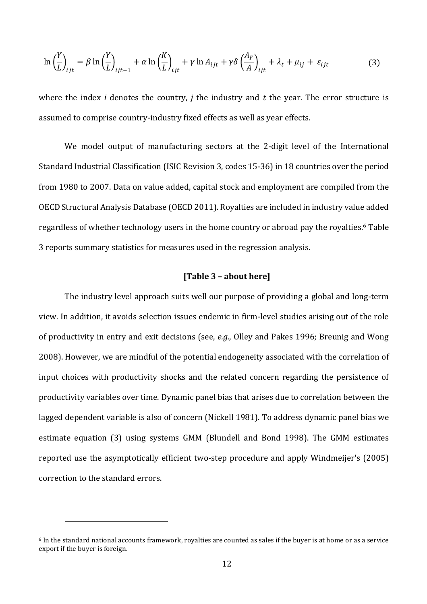$$
\ln\left(\frac{Y}{L}\right)_{ijt} = \beta \ln\left(\frac{Y}{L}\right)_{ijt-1} + \alpha \ln\left(\frac{K}{L}\right)_{ijt} + \gamma \ln A_{ijt} + \gamma \delta \left(\frac{A_F}{A}\right)_{ijt} + \lambda_t + \mu_{ij} + \varepsilon_{ijt}
$$
(3)

where the index *i* denotes the country, *j* the industry and  $t$  the year. The error structure is assumed to comprise country-industry fixed effects as well as year effects.

We model output of manufacturing sectors at the 2-digit level of the International Standard Industrial Classification (ISIC Revision 3, codes 15-36) in 18 countries over the period from 1980 to 2007. Data on value added, capital stock and employment are compiled from the OECD Structural Analysis Database (OECD 2011). Royalties are included in industry value added regardless of whether technology users in the home country or abroad pay the royalties.<sup>6</sup> Table 3 reports summary statistics for measures used in the regression analysis.

#### **[Table 3 – about here]**

The industry level approach suits well our purpose of providing a global and long-term view. In addition, it avoids selection issues endemic in firm-level studies arising out of the role of productivity in entry and exit decisions (see, *e.g.*, Olley and Pakes 1996; Breunig and Wong 2008). However, we are mindful of the potential endogeneity associated with the correlation of input choices with productivity shocks and the related concern regarding the persistence of productivity variables over time. Dynamic panel bias that arises due to correlation between the lagged dependent variable is also of concern (Nickell 1981). To address dynamic panel bias we estimate equation (3) using systems GMM (Blundell and Bond 1998). The GMM estimates reported use the asymptotically efficient two-step procedure and apply Windmeijer's (2005) correction to the standard errors.

 $6$  In the standard national accounts framework, royalties are counted as sales if the buyer is at home or as a service export if the buyer is foreign.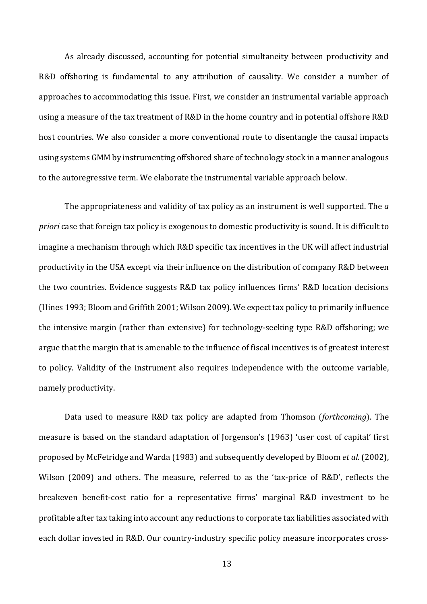As already discussed, accounting for potential simultaneity between productivity and R&D offshoring is fundamental to any attribution of causality. We consider a number of approaches to accommodating this issue. First, we consider an instrumental variable approach using a measure of the tax treatment of R&D in the home country and in potential offshore R&D host countries. We also consider a more conventional route to disentangle the causal impacts using systems GMM by instrumenting offshored share of technology stock in a manner analogous to the autoregressive term. We elaborate the instrumental variable approach below.

The appropriateness and validity of tax policy as an instrument is well supported. The *a priori* case that foreign tax policy is exogenous to domestic productivity is sound. It is difficult to imagine a mechanism through which R&D specific tax incentives in the UK will affect industrial productivity in the USA except via their influence on the distribution of company R&D between the two countries. Evidence suggests R&D tax policy influences firms' R&D location decisions (Hines 1993; Bloom and Griffith 2001; Wilson 2009). We expect tax policy to primarily influence the intensive margin (rather than extensive) for technology-seeking type R&D offshoring; we argue that the margin that is amenable to the influence of fiscal incentives is of greatest interest to policy. Validity of the instrument also requires independence with the outcome variable, namely productivity.

Data used to measure R&D tax policy are adapted from Thomson (*forthcoming*). The measure is based on the standard adaptation of Jorgenson's (1963) 'user cost of capital' first proposed by McFetridge and Warda (1983) and subsequently developed by Bloom *et al.* (2002), Wilson (2009) and others. The measure, referred to as the 'tax-price of R&D', reflects the breakeven benefit-cost ratio for a representative firms' marginal R&D investment to be profitable after tax taking into account any reductions to corporate tax liabilities associated with each dollar invested in R&D. Our country-industry specific policy measure incorporates cross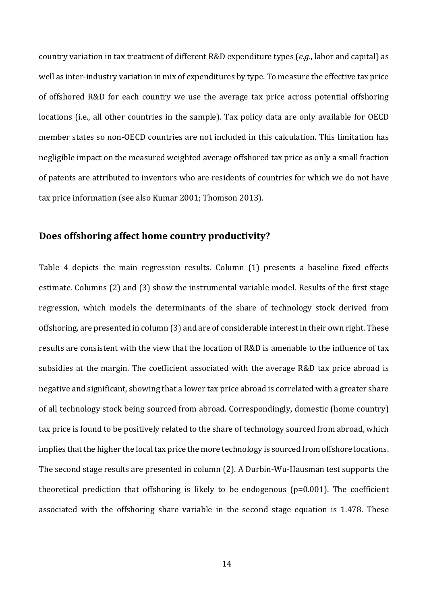country variation in tax treatment of different R&D expenditure types (*e.g.*, labor and capital) as well as inter-industry variation in mix of expenditures by type. To measure the effective tax price of offshored R&D for each country we use the average tax price across potential offshoring locations (i.e., all other countries in the sample). Tax policy data are only available for OECD member states so non-OECD countries are not included in this calculation. This limitation has negligible impact on the measured weighted average offshored tax price as only a small fraction of patents are attributed to inventors who are residents of countries for which we do not have tax price information (see also Kumar 2001; Thomson 2013).

#### **Does offshoring affect home country productivity?**

Table 4 depicts the main regression results. Column (1) presents a baseline fixed effects estimate. Columns (2) and (3) show the instrumental variable model. Results of the first stage regression, which models the determinants of the share of technology stock derived from offshoring, are presented in column (3) and are of considerable interest in their own right. These results are consistent with the view that the location of R&D is amenable to the influence of tax subsidies at the margin. The coefficient associated with the average R&D tax price abroad is negative and significant, showing that a lower tax price abroad is correlated with a greater share of all technology stock being sourced from abroad. Correspondingly, domestic (home country) tax price is found to be positively related to the share of technology sourced from abroad, which implies that the higher the local tax price the more technology is sourced from offshore locations. The second stage results are presented in column  $(2)$ . A Durbin-Wu-Hausman test supports the theoretical prediction that offshoring is likely to be endogenous  $(p=0.001)$ . The coefficient associated with the offshoring share variable in the second stage equation is 1.478. These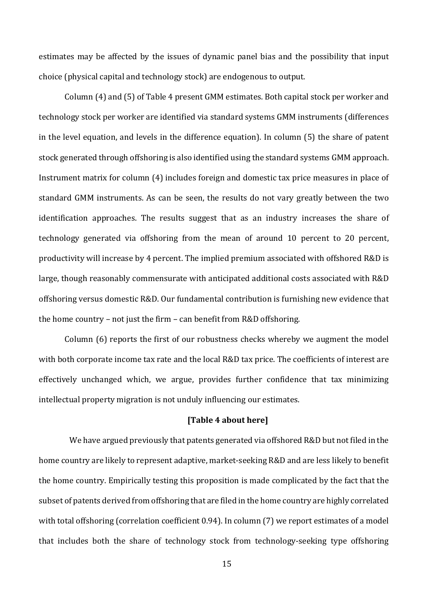estimates may be affected by the issues of dynamic panel bias and the possibility that input choice (physical capital and technology stock) are endogenous to output.

Column (4) and (5) of Table 4 present GMM estimates. Both capital stock per worker and technology stock per worker are identified via standard systems GMM instruments (differences in the level equation, and levels in the difference equation). In column  $(5)$  the share of patent stock generated through offshoring is also identified using the standard systems GMM approach. Instrument matrix for column (4) includes foreign and domestic tax price measures in place of standard GMM instruments. As can be seen, the results do not vary greatly between the two identification approaches. The results suggest that as an industry increases the share of technology generated via offshoring from the mean of around 10 percent to 20 percent, productivity will increase by 4 percent. The implied premium associated with offshored R&D is large, though reasonably commensurate with anticipated additional costs associated with R&D offshoring versus domestic R&D. Our fundamental contribution is furnishing new evidence that the home country – not just the firm – can benefit from  $R&D$  offshoring.

Column  $(6)$  reports the first of our robustness checks whereby we augment the model with both corporate income tax rate and the local R&D tax price. The coefficients of interest are effectively unchanged which, we argue, provides further confidence that tax minimizing intellectual property migration is not unduly influencing our estimates.

#### **[Table 4 about here]**

We have argued previously that patents generated via offshored R&D but not filed in the home country are likely to represent adaptive, market-seeking R&D and are less likely to benefit the home country. Empirically testing this proposition is made complicated by the fact that the subset of patents derived from offshoring that are filed in the home country are highly correlated with total offshoring (correlation coefficient 0.94). In column (7) we report estimates of a model that includes both the share of technology stock from technology-seeking type offshoring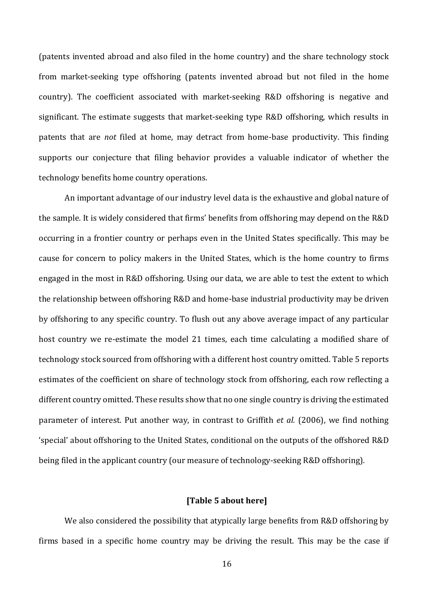(patents invented abroad and also filed in the home country) and the share technology stock from market-seeking type offshoring (patents invented abroad but not filed in the home country). The coefficient associated with market-seeking R&D offshoring is negative and significant. The estimate suggests that market-seeking type R&D offshoring, which results in patents that are *not* filed at home, may detract from home-base productivity. This finding supports our conjecture that filing behavior provides a valuable indicator of whether the technology benefits home country operations.

An important advantage of our industry level data is the exhaustive and global nature of the sample. It is widely considered that firms' benefits from offshoring may depend on the R&D occurring in a frontier country or perhaps even in the United States specifically. This may be cause for concern to policy makers in the United States, which is the home country to firms engaged in the most in R&D offshoring. Using our data, we are able to test the extent to which the relationship between offshoring R&D and home-base industrial productivity may be driven by offshoring to any specific country. To flush out any above average impact of any particular host country we re-estimate the model 21 times, each time calculating a modified share of technology stock sourced from offshoring with a different host country omitted. Table 5 reports estimates of the coefficient on share of technology stock from offshoring, each row reflecting a different country omitted. These results show that no one single country is driving the estimated parameter of interest. Put another way, in contrast to Griffith *et al.* (2006), we find nothing 'special' about offshoring to the United States, conditional on the outputs of the offshored R&D being filed in the applicant country (our measure of technology-seeking R&D offshoring).

#### **[Table 5 about here]**

We also considered the possibility that atypically large benefits from R&D offshoring by firms based in a specific home country may be driving the result. This may be the case if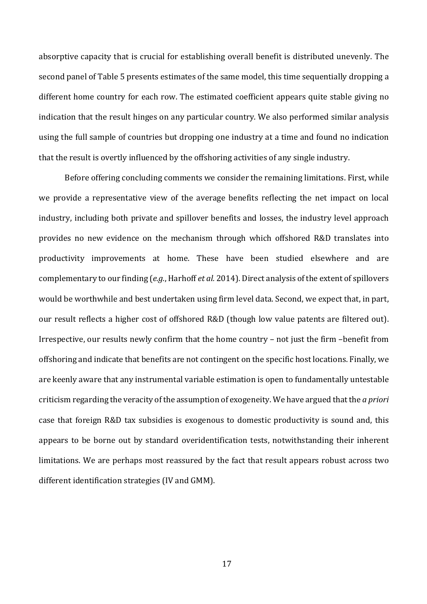absorptive capacity that is crucial for establishing overall benefit is distributed unevenly. The second panel of Table 5 presents estimates of the same model, this time sequentially dropping a different home country for each row. The estimated coefficient appears quite stable giving no indication that the result hinges on any particular country. We also performed similar analysis using the full sample of countries but dropping one industry at a time and found no indication that the result is overtly influenced by the offshoring activities of any single industry.

Before offering concluding comments we consider the remaining limitations. First, while we provide a representative view of the average benefits reflecting the net impact on local industry, including both private and spillover benefits and losses, the industry level approach provides no new evidence on the mechanism through which offshored R&D translates into productivity improvements at home. These have been studied elsewhere and are complementary to our finding (*e.g.*, Harhoff *et al.* 2014). Direct analysis of the extent of spillovers would be worthwhile and best undertaken using firm level data. Second, we expect that, in part, our result reflects a higher cost of offshored R&D (though low value patents are filtered out). Irrespective, our results newly confirm that the home country – not just the firm –benefit from offshoring and indicate that benefits are not contingent on the specific host locations. Finally, we are keenly aware that any instrumental variable estimation is open to fundamentally untestable criticism regarding the veracity of the assumption of exogeneity. We have argued that the *a priori* case that foreign R&D tax subsidies is exogenous to domestic productivity is sound and, this appears to be borne out by standard overidentification tests, notwithstanding their inherent limitations. We are perhaps most reassured by the fact that result appears robust across two different identification strategies (IV and GMM).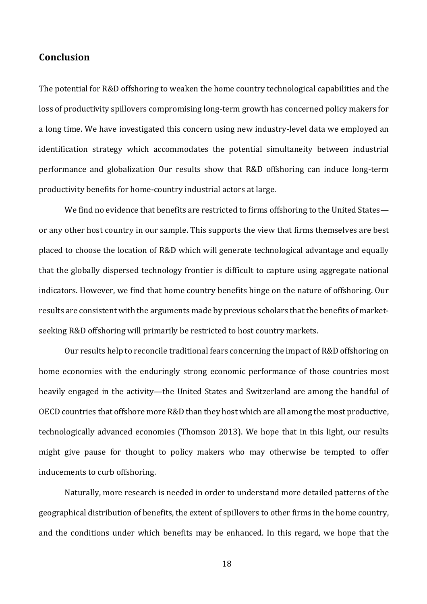#### **Conclusion**

The potential for R&D offshoring to weaken the home country technological capabilities and the loss of productivity spillovers compromising long-term growth has concerned policy makers for a long time. We have investigated this concern using new industry-level data we employed an identification strategy which accommodates the potential simultaneity between industrial performance and globalization Our results show that R&D offshoring can induce long-term productivity benefits for home-country industrial actors at large.

We find no evidence that benefits are restricted to firms offshoring to the United States or any other host country in our sample. This supports the view that firms themselves are best placed to choose the location of R&D which will generate technological advantage and equally that the globally dispersed technology frontier is difficult to capture using aggregate national indicators. However, we find that home country benefits hinge on the nature of offshoring. Our results are consistent with the arguments made by previous scholars that the benefits of marketseeking R&D offshoring will primarily be restricted to host country markets.

Our results help to reconcile traditional fears concerning the impact of R&D offshoring on home economies with the enduringly strong economic performance of those countries most heavily engaged in the activity—the United States and Switzerland are among the handful of OECD countries that offshore more R&D than they host which are all among the most productive, technologically advanced economies (Thomson 2013). We hope that in this light, our results might give pause for thought to policy makers who may otherwise be tempted to offer inducements to curb offshoring.

Naturally, more research is needed in order to understand more detailed patterns of the geographical distribution of benefits, the extent of spillovers to other firms in the home country, and the conditions under which benefits may be enhanced. In this regard, we hope that the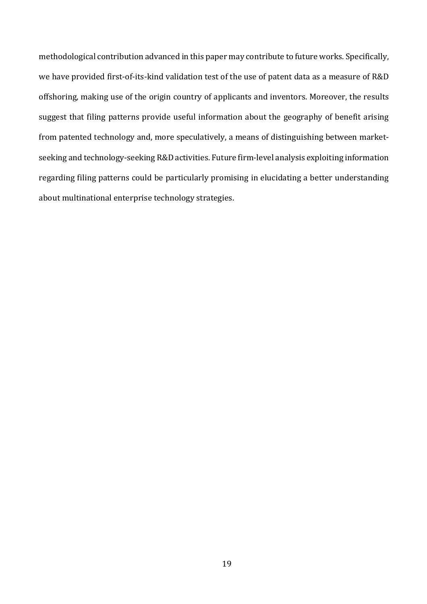methodological contribution advanced in this paper may contribute to future works. Specifically, we have provided first-of-its-kind validation test of the use of patent data as a measure of R&D offshoring, making use of the origin country of applicants and inventors. Moreover, the results suggest that filing patterns provide useful information about the geography of benefit arising from patented technology and, more speculatively, a means of distinguishing between marketseeking and technology-seeking R&D activities. Future firm-level analysis exploiting information regarding filing patterns could be particularly promising in elucidating a better understanding about multinational enterprise technology strategies.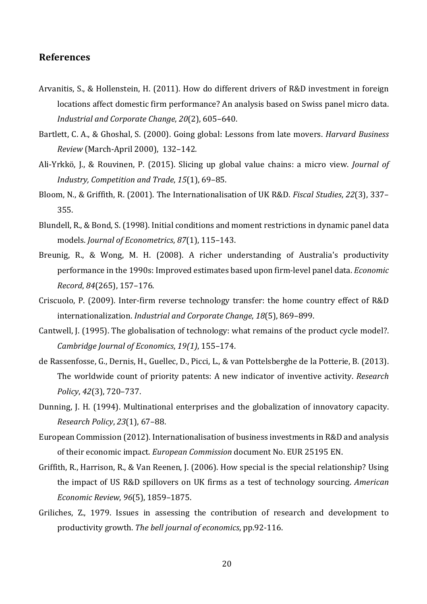#### **References**

- Arvanitis, S., & Hollenstein, H. (2011). How do different drivers of R&D investment in foreign locations affect domestic firm performance? An analysis based on Swiss panel micro data. *Industrial and Corporate Change, 20(2), 605-640.*
- Bartlett, C. A., & Ghoshal, S. (2000). Going global: Lessons from late movers. *Harvard Business Review* (March-April 2000), 132-142.
- Ali-Yrkkö, J., & Rouvinen, P. (2015). Slicing up global value chains: a micro view. *Journal of* Industry, Competition and Trade, 15(1), 69-85.
- Bloom, N., & Griffith, R. (2001). The Internationalisation of UK R&D. *Fiscal Studies*, 22(3), 337– 355.
- Blundell, R., & Bond, S. (1998). Initial conditions and moment restrictions in dynamic panel data models. *Journal of Econometrics*, 87(1), 115-143.
- Breunig, R., & Wong, M. H. (2008). A richer understanding of Australia's productivity performance in the 1990s: Improved estimates based upon firm-level panel data. *Economic Record*, *84*(265), 157–176.
- Criscuolo, P. (2009). Inter-firm reverse technology transfer: the home country effect of R&D internationalization. *Industrial and Corporate Change*, 18(5), 869-899.
- Cantwell, J. (1995). The globalisation of technology: what remains of the product cycle model?. *Cambridge Journal of Economics*, *19(1)*, 155–174.
- de Rassenfosse, G., Dernis, H., Guellec, D., Picci, L., & van Pottelsberghe de la Potterie, B. (2013). The worldwide count of priority patents: A new indicator of inventive activity. *Research Policy*, *42*(3), 720–737.
- Dunning, J. H. (1994). Multinational enterprises and the globalization of innovatory capacity. *Research Policy*, *23*(1), 67–88.
- European Commission (2012). Internationalisation of business investments in R&D and analysis of their economic impact. *European Commission* document No. EUR 25195 EN.
- Griffith, R., Harrison, R., & Van Reenen, J. (2006). How special is the special relationship? Using the impact of US R&D spillovers on UK firms as a test of technology sourcing. *American Economic Review*, *96*(5), 1859–1875.
- Griliches, Z., 1979. Issues in assessing the contribution of research and development to productivity growth. The bell journal of economics, pp.92-116.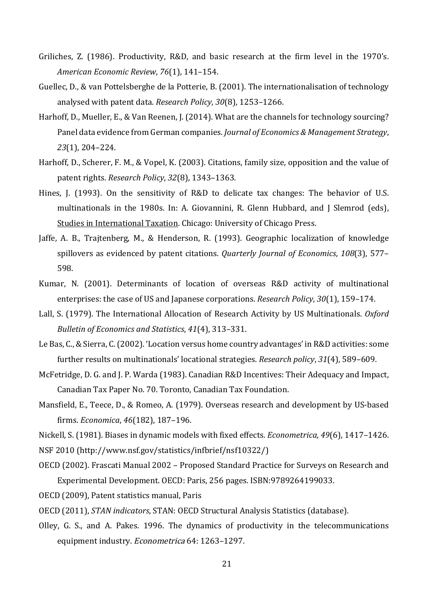- Griliches, Z. (1986). Productivity, R&D, and basic research at the firm level in the 1970's. *American Economic Review*, *76*(1), 141–154.
- Guellec, D., & van Pottelsberghe de la Potterie, B. (2001). The internationalisation of technology analysed with patent data. Research Policy, 30(8), 1253-1266.
- Harhoff, D., Mueller, E., & Van Reenen, J. (2014). What are the channels for technology sourcing? Panel data evidence from German companies. *Journal of Economics & Management Strategy*, *23*(1), 204–224.
- Harhoff, D., Scherer, F. M., & Vopel, K. (2003). Citations, family size, opposition and the value of patent rights. *Research Policy*, *32*(8), 1343–1363.
- Hines, J. (1993). On the sensitivity of R&D to delicate tax changes: The behavior of U.S. multinationals in the 1980s. In: A. Giovannini, R. Glenn Hubbard, and J Slemrod (eds), Studies in International Taxation. Chicago: University of Chicago Press.
- Jaffe, A. B., Trajtenberg, M., & Henderson, R. (1993). Geographic localization of knowledge spillovers as evidenced by patent citations. *Quarterly Journal of Economics*, 108(3), 577– 598.
- Kumar, N. (2001). Determinants of location of overseas R&D activity of multinational enterprises: the case of US and Japanese corporations. *Research Policy*, 30(1), 159-174.
- Lall, S. (1979). The International Allocation of Research Activity by US Multinationals. *Oxford Bulletin of Economics and Statistics, 41*(4), 313-331.
- Le Bas, C., & Sierra, C. (2002). 'Location versus home country advantages' in R&D activities: some further results on multinationals' locational strategies. *Research policy*, 31(4), 589-609.
- McFetridge, D. G. and J. P. Warda (1983). Canadian R&D Incentives: Their Adequacy and Impact, Canadian Tax Paper No. 70. Toronto, Canadian Tax Foundation.
- Mansfield, E., Teece, D., & Romeo, A. (1979). Overseas research and development by US-based firms. *Economica*, *46*(182), 187–196.

Nickell, S. (1981). Biases in dynamic models with fixed effects. *Econometrica*, 49(6), 1417–1426.

- NSF 2010 (http://www.nsf.gov/statistics/infbrief/nsf10322/)
- OECD (2002). Frascati Manual 2002 Proposed Standard Practice for Surveys on Research and Experimental Development. OECD: Paris, 256 pages. ISBN:9789264199033.
- OECD (2009), Patent statistics manual, Paris
- OECD (2011), *STAN indicators*, STAN: OECD Structural Analysis Statistics (database).
- Olley, G. S., and A. Pakes. 1996. The dynamics of productivity in the telecommunications equipment industry. Econometrica 64: 1263-1297.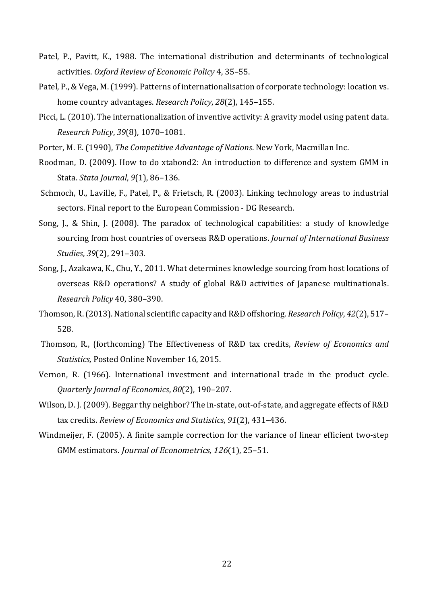- Patel, P., Pavitt, K., 1988. The international distribution and determinants of technological activities. *Oxford Review of Economic Policy* 4, 35–55.
- Patel, P., & Vega, M. (1999). Patterns of internationalisation of corporate technology: location vs. home country advantages. *Research Policy*, 28(2), 145-155.
- Picci, L. (2010). The internationalization of inventive activity: A gravity model using patent data. *Research Policy*, *39*(8), 1070–1081.
- Porter, M. E. (1990), *The Competitive Advantage of Nations*. New York, Macmillan Inc.
- Roodman, D. (2009). How to do xtabond2: An introduction to difference and system GMM in Stata. *Stata Journal*, *9*(1), 86–136.
- Schmoch, U., Laville, F., Patel, P., & Frietsch, R. (2003). Linking technology areas to industrial sectors. Final report to the European Commission - DG Research.
- Song, J., & Shin, J. (2008). The paradox of technological capabilities: a study of knowledge sourcing from host countries of overseas R&D operations. *Journal of International Business Studies*, *39*(2), 291–303.
- Song, J., Azakawa, K., Chu, Y., 2011. What determines knowledge sourcing from host locations of overseas R&D operations? A study of global R&D activities of Japanese multinationals. *Research Policy* 40, 380–390.
- Thomson, R. (2013). National scientific capacity and R&D offshoring. *Research Policy*, 42(2), 517– 528.
- Thomson, R., (forthcoming) The Effectiveness of R&D tax credits, *Review of Economics and Statistics*, Posted Online November 16, 2015.
- Vernon, R. (1966). International investment and international trade in the product cycle. *Quarterly Journal of Economics*, *80*(2), 190–207.
- Wilson, D. J. (2009). Beggar thy neighbor? The in-state, out-of-state, and aggregate effects of R&D tax credits. *Review of Economics and Statistics*, 91(2), 431-436.
- Windmeijer, F. (2005). A finite sample correction for the variance of linear efficient two-step GMM estimators. Journal of Econometrics, 126(1), 25-51.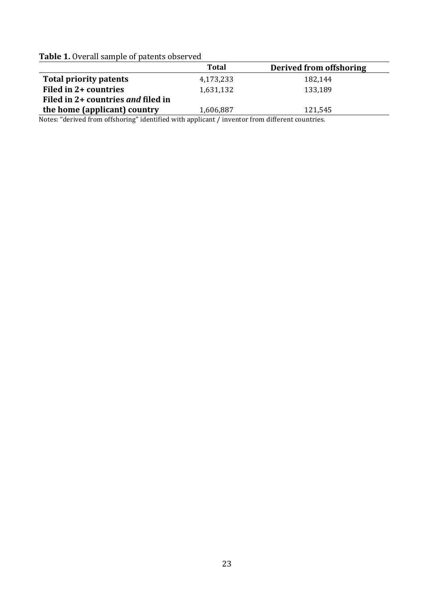|  |  | <b>Table 1.</b> Overall sample of patents observed |  |  |  |
|--|--|----------------------------------------------------|--|--|--|
|--|--|----------------------------------------------------|--|--|--|

|                                    | Total     | Derived from offshoring |
|------------------------------------|-----------|-------------------------|
| <b>Total priority patents</b>      | 4,173,233 | 182.144                 |
| Filed in 2+ countries              | 1,631,132 | 133,189                 |
| Filed in 2+ countries and filed in |           |                         |
| the home (applicant) country       | 1,606,887 | 121.545                 |

Notes: "derived from offshoring" identified with applicant / inventor from different countries.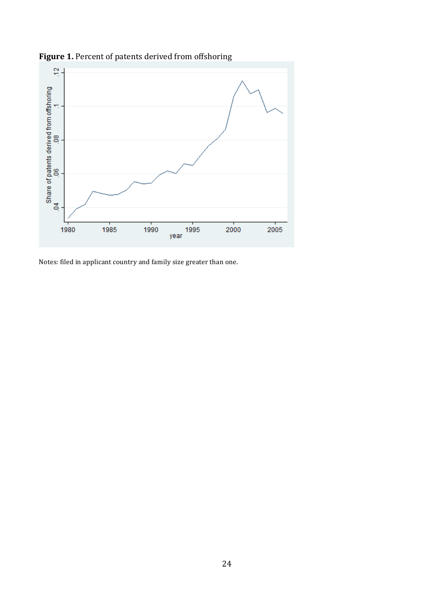

Figure 1. Percent of patents derived from offshoring

Notes: filed in applicant country and family size greater than one.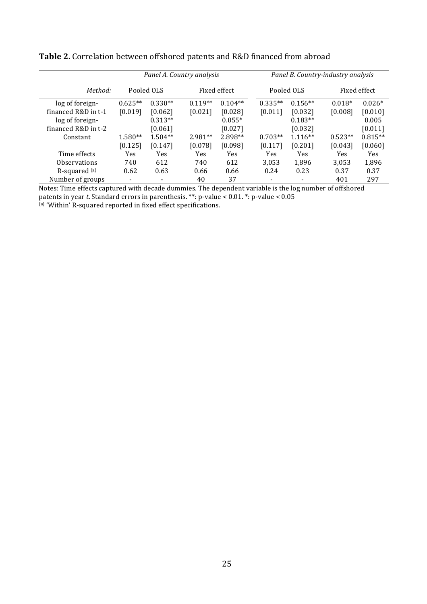|                     | Panel A. Country analysis |                          |              |           | Panel B. Country-industry analysis |                |              |           |
|---------------------|---------------------------|--------------------------|--------------|-----------|------------------------------------|----------------|--------------|-----------|
| Method:             | Pooled OLS                |                          | Fixed effect |           | Pooled OLS                         |                | Fixed effect |           |
| log of foreign-     | $0.625**$                 | $0.330**$                | $0.119**$    | $0.104**$ | $0.335**$                          | $0.156**$      | $0.018*$     | $0.026*$  |
| financed R&D in t-1 | [0.019]                   | [0.062]                  | [0.021]      | [0.028]   | [0.011]                            | [0.032]        | [0.008]      | [0.010]   |
| log of foreign-     |                           | $0.313**$                |              | $0.055*$  |                                    | $0.183**$      |              | 0.005     |
| financed R&D in t-2 |                           | [0.061]                  |              | [0.027]   |                                    | [0.032]        |              | [0.011]   |
| Constant            | $1.580**$                 | $1.504**$                | $2.981**$    | 2.898**   | $0.703**$                          | $1.116**$      | $0.523**$    | $0.815**$ |
|                     | [0.125]                   | [0.147]                  | [0.078]      | [0.098]   | [0.117]                            | [0.201]        | [0.043]      | [0.060]   |
| Time effects        | Yes                       | Yes                      | Yes          | Yes       | Yes                                | Yes            | <b>Yes</b>   | Yes       |
| <b>Observations</b> | 740                       | 612                      | 740          | 612       | 3,053                              | 1,896          | 3,053        | 1,896     |
| $R$ -squared $(a)$  | 0.62                      | 0.63                     | 0.66         | 0.66      | 0.24                               | 0.23           | 0.37         | 0.37      |
| Number of groups    |                           | $\overline{\phantom{a}}$ | 40           | 37        |                                    | $\blacksquare$ | 401          | 297       |

Table 2. Correlation between offshored patents and R&D financed from abroad

Notes: Time effects captured with decade dummies. The dependent variable is the log number of offshored patents in year *t*. Standard errors in parenthesis. \*\*: p-value < 0.01. \*: p-value < 0.05 (a) 'Within' R-squared reported in fixed effect specifications.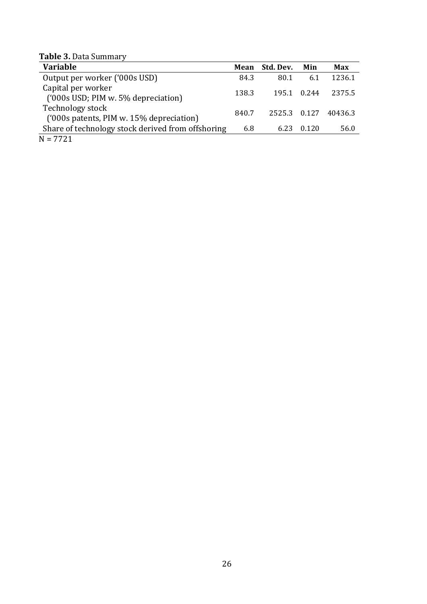**Table 3.** Data Summary

| <b>Variable</b>                                              |       | Mean Std. Dev. | Min         | Max     |
|--------------------------------------------------------------|-------|----------------|-------------|---------|
| Output per worker ('000s USD)                                | 84.3  | 80.1           | 6.1         | 1236.1  |
| Capital per worker<br>('000s USD; PIM w. 5% depreciation)    | 138.3 |                | 195.1 0.244 | 2375.5  |
| Technology stock<br>('000s patents, PIM w. 15% depreciation) | 840.7 | 2525.3 0.127   |             | 40436.3 |
| Share of technology stock derived from offshoring            | 6.8   | 6.23           | 0.120       | 56.0    |
| $N = 7721$                                                   |       |                |             |         |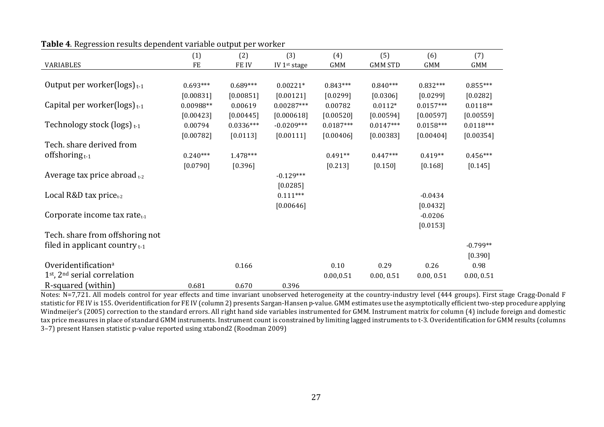|                                              | (1)         | (2)         | (3)          | (4)         | (5)            | (6)         | (7)         |
|----------------------------------------------|-------------|-------------|--------------|-------------|----------------|-------------|-------------|
| <b>VARIABLES</b>                             | FE          | FE IV       | IV 1st stage | GMM         | <b>GMM STD</b> | GMM         | <b>GMM</b>  |
|                                              |             |             |              |             |                |             |             |
| Output per worker( $\log s$ ) <sub>t-1</sub> | $0.693***$  | $0.689***$  | $0.00221*$   | $0.843***$  | $0.840***$     | $0.832***$  | $0.855***$  |
|                                              | [0.00831]   | [0.00851]   | [0.00121]    | [0.0299]    | [0.0306]       | [0.0299]    | $[0.0282]$  |
| Capital per worker(logs) $_{t-1}$            | $0.00988**$ | 0.00619     | $0.00287***$ | 0.00782     | $0.0112*$      | $0.0157***$ | $0.0118**$  |
|                                              | [0.00423]   | [0.00445]   | [0.000618]   | [0.00520]   | [0.00594]      | [0.00597]   | [0.00559]   |
| Technology stock (logs) $t-1$                | 0.00794     | $0.0336***$ | $-0.0209***$ | $0.0187***$ | $0.0147***$    | $0.0158***$ | $0.0118***$ |
|                                              | [0.00782]   | $[0.0113]$  | [0.00111]    | [0.00406]   | [0.00383]      | [0.00404]   | [0.00354]   |
| Tech. share derived from                     |             |             |              |             |                |             |             |
| offshoring $t-1$                             | $0.240***$  | 1.478***    |              | $0.491**$   | $0.447***$     | $0.419**$   | $0.456***$  |
|                                              | [0.0790]    | [0.396]     |              | $[0.213]$   | $[0.150]$      | $[0.168]$   | [0.145]     |
| Average tax price abroad $t_{t-2}$           |             |             | $-0.129***$  |             |                |             |             |
|                                              |             |             | [0.0285]     |             |                |             |             |
| Local R&D tax price $_{t-2}$                 |             |             | $0.111***$   |             |                | $-0.0434$   |             |
|                                              |             |             | [0.00646]    |             |                | [0.0432]    |             |
| Corporate income tax rate $_{t-1}$           |             |             |              |             |                | $-0.0206$   |             |
|                                              |             |             |              |             |                | [0.0153]    |             |
| Tech. share from offshoring not              |             |             |              |             |                |             |             |
| filed in applicant country $t-1$             |             |             |              |             |                |             | $-0.799**$  |
|                                              |             |             |              |             |                |             | $[0.390]$   |
| Overidentification <sup>a</sup>              |             | 0.166       |              | 0.10        | 0.29           | 0.26        | 0.98        |
| $1st$ , $2nd$ serial correlation             |             |             |              | 0.00,0.51   | 0.00, 0.51     | 0.00, 0.51  | 0.00, 0.51  |
| R-squared (within)                           | 0.681       | 0.670       | 0.396        |             |                |             |             |

**Table 4.** Regression results dependent variable output per worker

Notes: N=7,721. All models control for year effects and time invariant unobserved heterogeneity at the country-industry level (444 groups). First stage Cragg-Donald F statistic for FE IV is 155. Overidentification for FE IV (column 2) presents Sargan-Hansen p-value. GMM estimates use the asymptotically efficient two-step procedure applying Windmeijer's (2005) correction to the standard errors. All right hand side variables instrumented for GMM. Instrument matrix for column (4) include foreign and domestic tax price measures in place of standard GMM instruments. Instrument count is constrained by limiting lagged instruments to t-3. Overidentification for GMM results (columns 3–7) present Hansen statistic p-value reported using xtabond2 (Roodman 2009)